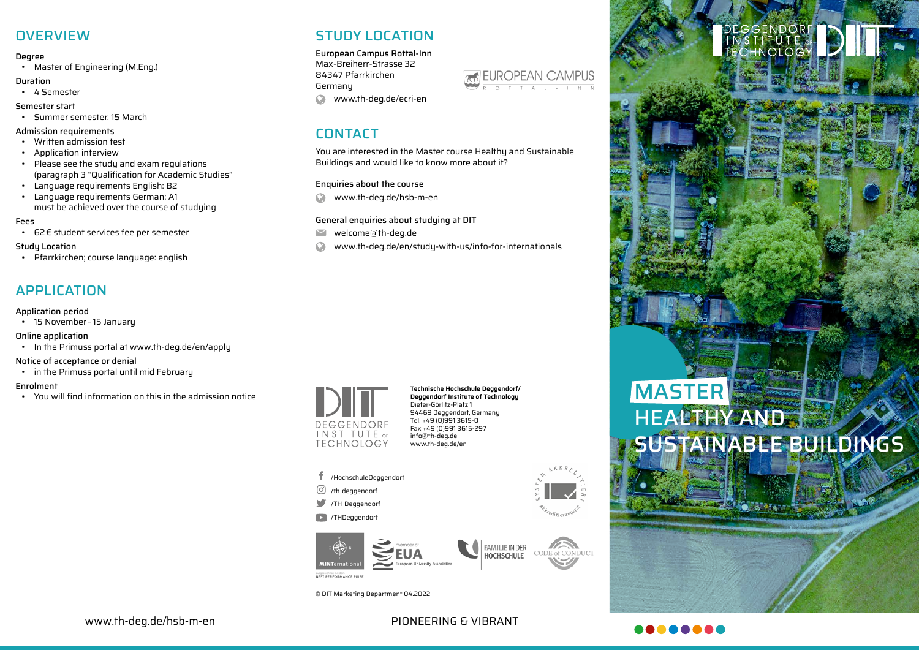## **OVERVIEW**

#### Degree

• Master of Engineering (M.Eng.)

#### Duration

- 4 Semester
- Semester start
- Summer semester, 15 March

#### Admission requirements

- Written admission test
- Application interview
- Please see the study and exam regulations (paragraph 3 "Qualification for Academic Studies"
- Language requirements English: B2
- Language requirements German: A1 must be achieved over the course of studuing

### Fees

• 62€ student services fee per semester

#### Study Location

• Pfarrkirchen; course language: english

## APPLICATION

## Application period

• 15 November – 15 January

Online application

• In the Primuss portal at www.th-deg.de/en/apply

#### Notice of acceptance or denial

• in the Primuss portal until mid February

#### Enrolment

• You will find information on this in the admission notice

## STUDY LOCATION

European Campus Rottal-Inn Max-Breiherr-Strasse 32 84347 Pfarrkirchen Germany www.th-deg.de/ecri-en

## CONTACT

You are interested in the Master course Healthy and Sustainable Buildings and would like to know more about it?

### Enquiries about the course

 $\Omega$ www.th-deg.de/hsb-m-en

## General enquiries about studying at DIT

- welcome@th-deg.de  $\blacktriangleright$
- www.th-deg.de/en/study-with-us/info-for-internationals

## DEGGENDORE **INSTITUTE** OF **TECHNOLOGY**

**Technische Hochschule Deggendorf/ Deggendorf Institute of Technology** Dieter-Görlitz-Platz 1 94469 Deggendorf, Germany Tel. +49 (0)991 3615-0 Fax +49 (0)991 3615-297 info@th-deg.de www.th-deg.de/en

- /HochschuleDeggendorf
- $\odot$  /th deggendorf
- TH Deggendorf
- /THDeggendorf



© DIT Marketing Department 04.2022



# **MASTER** HEALTHY AND **STAINABLE BUILDINGS**

DEGGENDO<mark>R</mark><br>MSTITUTE o CHNOLO